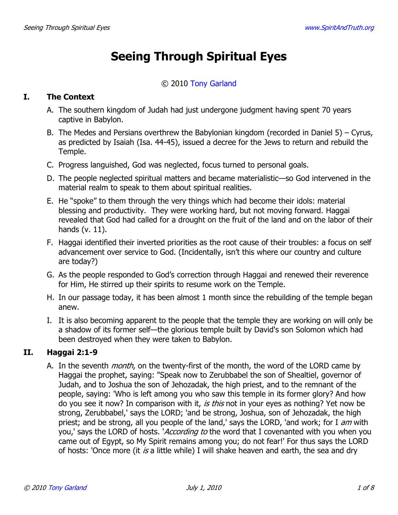# **Seeing Through Spiritual Eyes**

# © 2010 Tony Garland

### I. **The Context**

- A. The southern kingdom of Judah had just undergone judgment having spent 70 years captive in Babylon.
- B. The Medes and Persians overthrew the Babylonian kingdom (recorded in Daniel 5) Cyrus, as predicted by Isaiah (Isa. 44-45), issued a decree for the Jews to return and rebuild the Temple.
- C. Progress languished, God was neglected, focus turned to personal goals.
- D. The people neglected spiritual matters and became materialistic—so God intervened in the material realm to speak to them about spiritual realities.
- E. He "spoke" to them through the very things which had become their idols: material blessing and productivity. They were working hard, but not moving forward. Haggai revealed that God had called for a drought on the fruit of the land and on the labor of their hands  $(v. 11)$ .
- F. Haggai identified their inverted priorities as the root cause of their troubles: a focus on self advancement over service to God. (Incidentally, isn't this where our country and culture are today?)
- G. As the people responded to God's correction through Haggai and renewed their reverence for Him, He stirred up their spirits to resume work on the Temple.
- H. In our passage today, it has been almost 1 month since the rebuilding of the temple began anew.
- I. It is also becoming apparent to the people that the temple they are working on will only be a shadow of its former self-the glorious temple built by David's son Solomon which had been destroyed when they were taken to Babylon.

### II. Haggai 2:1-9

A. In the seventh *month*, on the twenty-first of the month, the word of the LORD came by Haggai the prophet, saying: "Speak now to Zerubbabel the son of Shealtiel, governor of Judah, and to Joshua the son of Jehozadak, the high priest, and to the remnant of the people, saying: 'Who is left among you who saw this temple in its former glory? And how do you see it now? In comparison with it, is this not in your eyes as nothing? Yet now be strong, Zerubbabel,' says the LORD; 'and be strong, Joshua, son of Jehozadak, the high priest; and be strong, all you people of the land,' says the LORD, 'and work; for I am with you,' says the LORD of hosts. 'According to the word that I covenanted with you when you came out of Egypt, so My Spirit remains among you; do not fear!' For thus says the LORD of hosts: 'Once more (it is a little while) I will shake heaven and earth, the sea and dry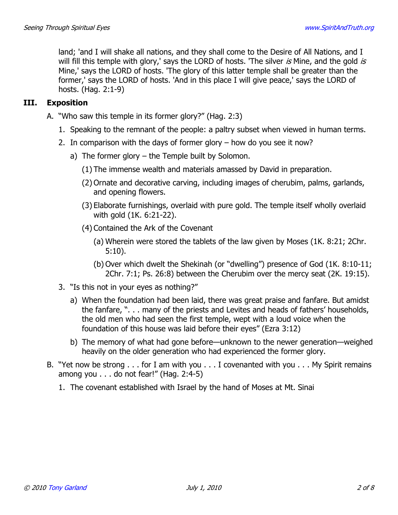land; 'and I will shake all nations, and they shall come to the Desire of All Nations, and I will fill this temple with glory,' says the LORD of hosts. 'The silver is Mine, and the gold is Mine,' says the LORD of hosts. 'The glory of this latter temple shall be greater than the former,' says the LORD of hosts. 'And in this place I will give peace,' says the LORD of hosts. (Hag. 2:1-9)

#### III. **Exposition**

- A. "Who saw this temple in its former glory?" (Hag. 2:3)
	- 1. Speaking to the remnant of the people: a paltry subset when viewed in human terms.
	- 2. In comparison with the days of former glory  $-$  how do you see it now?
		- a) The former glory  $-$  the Temple built by Solomon.
			- (1) The immense wealth and materials amassed by David in preparation.
			- (2) Ornate and decorative carving, including images of cherubim, palms, garlands, and opening flowers.
			- (3) Elaborate furnishings, overlaid with pure gold. The temple itself wholly overlaid with gold (1K. 6:21-22).
			- (4) Contained the Ark of the Covenant
				- (a) Wherein were stored the tablets of the law given by Moses (1K, 8:21; 2Chr.  $5:10$ ).
				- (b) Over which dwelt the Shekinah (or "dwelling") presence of God (1K. 8:10-11; 2Chr. 7:1; Ps. 26:8) between the Cherubim over the mercy seat (2K. 19:15).
	- 3. "Is this not in your eyes as nothing?"
		- a) When the foundation had been laid, there was great praise and fanfare. But amidst the fanfare, ". . . many of the priests and Levites and heads of fathers' households, the old men who had seen the first temple, wept with a loud voice when the foundation of this house was laid before their eyes" (Ezra 3:12)
		- b) The memory of what had gone before—unknown to the newer generation—weighed heavily on the older generation who had experienced the former glory.
- B. "Yet now be strong . . . for I am with you . . . I covenanted with you . . . My Spirit remains among you  $\ldots$  do not fear!" (Hag. 2:4-5)
	- 1. The covenant established with Israel by the hand of Moses at Mt. Sinai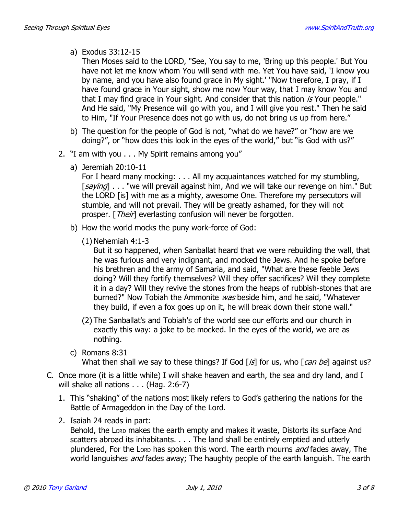# a) Exodus 33:12-15

Then Moses said to the LORD, "See, You say to me, 'Bring up this people.' But You have not let me know whom You will send with me. Yet You have said, 'I know you by name, and you have also found grace in My sight.' "Now therefore, I pray, if I have found grace in Your sight, show me now Your way, that I may know You and that I may find grace in Your sight. And consider that this nation is Your people." And He said, "My Presence will go with you, and I will give you rest." Then he said to Him, "If Your Presence does not go with us, do not bring us up from here."

- b) The question for the people of God is not, "what do we have?" or "how are we doing?", or "how does this look in the eves of the world," but "is God with us?"
- 2. "I am with you . . . My Spirit remains among you"
	- a) Jeremiah  $20:10-11$

For I heard many mocking: . . . All my acquaintances watched for my stumbling, [saying] . . . "we will prevail against him, And we will take our revenge on him." But the LORD [is] with me as a mighty, awesome One. Therefore my persecutors will stumble, and will not prevail. They will be greatly ashamed, for they will not prosper. [*Their*] everlasting confusion will never be forgotten.

- b) How the world mocks the puny work-force of God:
	- $(1)$  Nehemiah 4:1-3

But it so happened, when Sanballat heard that we were rebuilding the wall, that he was furious and very indignant, and mocked the Jews. And he spoke before his brethren and the army of Samaria, and said, "What are these feeble Jews doing? Will they fortify themselves? Will they offer sacrifices? Will they complete it in a day? Will they revive the stones from the heaps of rubbish-stones that are burned?" Now Tobiah the Ammonite was beside him, and he said, "Whatever they build, if even a fox goes up on it, he will break down their stone wall."

- (2) The Sanballat's and Tobiah's of the world see our efforts and our church in exactly this way: a joke to be mocked. In the eyes of the world, we are as nothing.
- c) Romans  $8:31$ What then shall we say to these things? If God [is] for us, who [can be] against us?
- C. Once more (it is a little while) I will shake heaven and earth, the sea and dry land, and I will shake all nations  $\ldots$  (Hag. 2:6-7)
	- 1. This "shaking" of the nations most likely refers to God's gathering the nations for the Battle of Armageddon in the Day of the Lord.
	- 2. Isaiah 24 reads in part:

Behold, the Lorp makes the earth empty and makes it waste, Distorts its surface And scatters abroad its inhabitants. . . . The land shall be entirely emptied and utterly plundered, For the Lorp has spoken this word. The earth mourns *and* fades away, The world languishes *and* fades away; The haughty people of the earth languish. The earth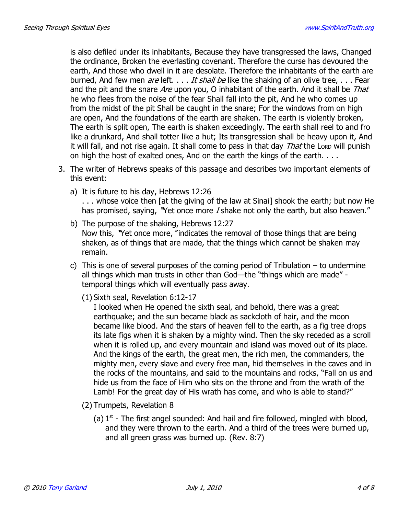is also defiled under its inhabitants, Because they have transgressed the laws, Changed the ordinance, Broken the everlasting covenant. Therefore the curse has devoured the earth, And those who dwell in it are desolate. Therefore the inhabitants of the earth are burned, And few men *are* left. . . . It shall be like the shaking of an olive tree, . . . Fear and the pit and the snare Are upon you, O inhabitant of the earth. And it shall be That he who flees from the noise of the fear Shall fall into the pit, And he who comes up from the midst of the pit Shall be caught in the snare; For the windows from on high are open, And the foundations of the earth are shaken. The earth is violently broken, The earth is split open, The earth is shaken exceedingly. The earth shall reel to and fro like a drunkard, And shall totter like a hut; Its transgression shall be heavy upon it, And it will fall, and not rise again. It shall come to pass in that day *That* the Loro will punish on high the host of exalted ones, And on the earth the kings of the earth....

- 3. The writer of Hebrews speaks of this passage and describes two important elements of this event:
	- a) It is future to his day, Hebrews 12:26 ... whose voice then [at the giving of the law at Sinai] shook the earth; but now He has promised, saying, "Yet once more I shake not only the earth, but also heaven."
	- b) The purpose of the shaking, Hebrews 12:27 Now this, "Yet once more, "indicates the removal of those things that are being shaken, as of things that are made, that the things which cannot be shaken may remain.
	- c) This is one of several purposes of the coming period of Tribulation  $-$  to undermine all things which man trusts in other than God-the "things which are made" temporal things which will eventually pass away.
		- (1) Sixth seal, Revelation 6:12-17

I looked when He opened the sixth seal, and behold, there was a great earthquake; and the sun became black as sackcloth of hair, and the moon became like blood. And the stars of heaven fell to the earth, as a fig tree drops its late figs when it is shaken by a mighty wind. Then the sky receded as a scroll when it is rolled up, and every mountain and island was moved out of its place. And the kings of the earth, the great men, the rich men, the commanders, the mighty men, every slave and every free man, hid themselves in the caves and in the rocks of the mountains, and said to the mountains and rocks, "Fall on us and hide us from the face of Him who sits on the throne and from the wrath of the Lamb! For the great day of His wrath has come, and who is able to stand?"

- (2) Trumpets, Revelation 8
	- (a)  $1<sup>st</sup>$  The first angel sounded: And hail and fire followed, mingled with blood, and they were thrown to the earth. And a third of the trees were burned up, and all green grass was burned up. (Rev. 8:7)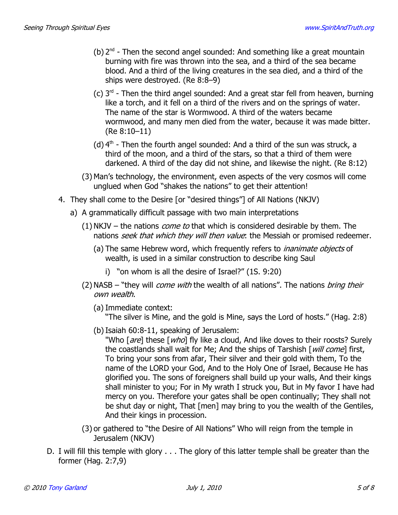- (b)  $2^{nd}$  Then the second angel sounded: And something like a great mountain burning with fire was thrown into the sea, and a third of the sea became blood. And a third of the living creatures in the sea died, and a third of the ships were destroyed. (Re 8:8-9)
- (c)  $3^{rd}$  Then the third angel sounded: And a great star fell from heaven, burning like a torch, and it fell on a third of the rivers and on the springs of water. The name of the star is Wormwood. A third of the waters became wormwood, and many men died from the water, because it was made bitter.  $(Re 8:10-11)$
- (d)  $4<sup>th</sup>$  Then the fourth angel sounded: And a third of the sun was struck, a third of the moon, and a third of the stars, so that a third of them were darkened. A third of the day did not shine, and likewise the night. (Re 8:12)
- (3) Man's technology, the environment, even aspects of the very cosmos will come unglued when God "shakes the nations" to get their attention!
- 4. They shall come to the Desire [or "desired things"] of All Nations (NKJV)
	- a) A grammatically difficult passage with two main interpretations
		- (1) NKJV the nations *come to* that which is considered desirable by them. The nations seek that which they will then value. the Messiah or promised redeemer.
			- (a) The same Hebrew word, which frequently refers to *inanimate objects* of wealth, is used in a similar construction to describe king Saul
				- i) "on whom is all the desire of Israel?" (1S. 9:20)
		- (2) NASB "they will *come with* the wealth of all nations". The nations *bring their* own wealth.
			- (a) Immediate context:

"The silver is Mine, and the gold is Mine, says the Lord of hosts." (Hag. 2:8)

- (b) Isaiah 60:8-11, speaking of Jerusalem:
	- "Who [are] these [who] fly like a cloud, And like doves to their roosts? Surely the coastlands shall wait for Me; And the ships of Tarshish [will come] first, To bring your sons from afar, Their silver and their gold with them, To the name of the LORD your God, And to the Holy One of Israel, Because He has glorified you. The sons of foreigners shall build up your walls, And their kings shall minister to you; For in My wrath I struck you, But in My favor I have had mercy on you. Therefore your gates shall be open continually; They shall not be shut day or night, That [men] may bring to you the wealth of the Gentiles, And their kings in procession.
- (3) or gathered to "the Desire of All Nations" Who will reign from the temple in Jerusalem (NKJV)
- D. I will fill this temple with glory . . . The glory of this latter temple shall be greater than the former (Hag.  $2:7,9$ )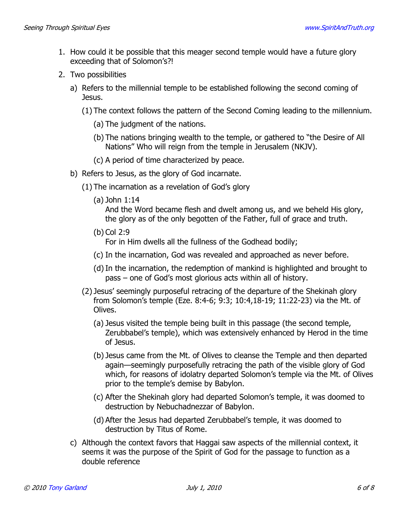- 1. How could it be possible that this meager second temple would have a future glory exceeding that of Solomon's?!
- 2. Two possibilities
	- a) Refers to the millennial temple to be established following the second coming of Jesus.
		- (1) The context follows the pattern of the Second Coming leading to the millennium.
			- (a) The judgment of the nations.
			- (b) The nations bringing wealth to the temple, or gathered to "the Desire of All Nations" Who will reign from the temple in Jerusalem (NKJV).
			- (c) A period of time characterized by peace.
	- b) Refers to Jesus, as the glory of God incarnate.
		- (1) The incarnation as a revelation of God's glory
			- $(a)$  John 1:14

And the Word became flesh and dwelt among us, and we beheld His glory, the glory as of the only begotten of the Father, full of grace and truth.

 $(b)$  Col 2:9

For in Him dwells all the fullness of the Godhead bodily;

- (c) In the incarnation, God was revealed and approached as never before.
- (d) In the incarnation, the redemption of mankind is highlighted and brought to pass – one of God's most glorious acts within all of history.
- (2) Jesus' seemingly purposeful retracing of the departure of the Shekinah glory from Solomon's temple (Eze. 8:4-6; 9:3; 10:4,18-19; 11:22-23) via the Mt. of Olives.
	- (a) Jesus visited the temple being built in this passage (the second temple, Zerubbabel's temple), which was extensively enhanced by Herod in the time of Jesus.
	- (b) Jesus came from the Mt. of Olives to cleanse the Temple and then departed again-seemingly purposefully retracing the path of the visible glory of God which, for reasons of idolatry departed Solomon's temple via the Mt. of Olives prior to the temple's demise by Babylon.
	- (c) After the Shekinah glory had departed Solomon's temple, it was doomed to destruction by Nebuchadnezzar of Babylon.
	- (d) After the Jesus had departed Zerubbabel's temple, it was doomed to destruction by Titus of Rome.
- c) Although the context favors that Haggai saw aspects of the millennial context, it seems it was the purpose of the Spirit of God for the passage to function as a double reference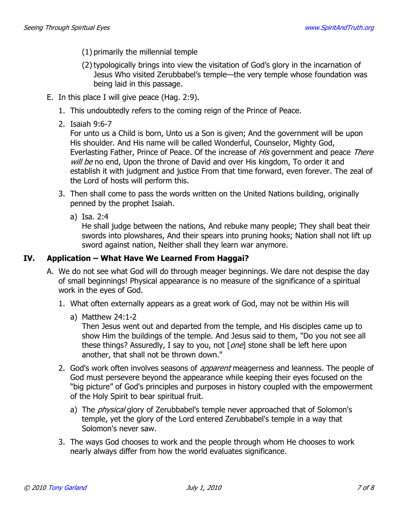- (1) primarily the millennial temple
- (2) typologically brings into view the visitation of God's glory in the incarnation of Jesus Who visited Zerubbabel's temple—the very temple whose foundation was being laid in this passage.
- E. In this place I will give peace (Hag. 2:9).
	- 1. This undoubtedly refers to the coming reign of the Prince of Peace.
	- 2. Isaiah 9:6-7

For unto us a Child is born, Unto us a Son is given; And the government will be upon His shoulder. And His name will be called Wonderful, Counselor, Mighty God, Everlasting Father, Prince of Peace. Of the increase of *His* government and peace *There* will be no end, Upon the throne of David and over His kingdom, To order it and establish it with judgment and justice From that time forward, even forever. The zeal of the Lord of hosts will perform this.

- 3. Then shall come to pass the words written on the United Nations building, originally penned by the prophet Isaiah.
	- a) Isa, 2:4

He shall judge between the nations, And rebuke many people; They shall beat their swords into plowshares, And their spears into pruning hooks; Nation shall not lift up sword against nation, Neither shall they learn war anymore.

#### IV. Application - What Have We Learned From Haggai?

- A. We do not see what God will do through meager beginnings. We dare not despise the day of small beginnings! Physical appearance is no measure of the significance of a spiritual work in the eyes of God.
	- 1. What often externally appears as a great work of God, may not be within His will
		- a) Matthew  $24:1-2$

Then Jesus went out and departed from the temple, and His disciples came up to show Him the buildings of the temple. And Jesus said to them, "Do you not see all these things? Assuredly, I say to you, not [one] stone shall be left here upon another, that shall not be thrown down."

- 2. God's work often involves seasons of *apparent* meagerness and leanness. The people of God must persevere beyond the appearance while keeping their eyes focused on the "big picture" of God's principles and purposes in history coupled with the empowerment of the Holy Spirit to bear spiritual fruit.
	- a) The *physical* glory of Zerubbabel's temple never approached that of Solomon's temple, yet the glory of the Lord entered Zerubbabel's temple in a way that Solomon's never saw.
- 3. The ways God chooses to work and the people through whom He chooses to work nearly always differ from how the world evaluates significance.